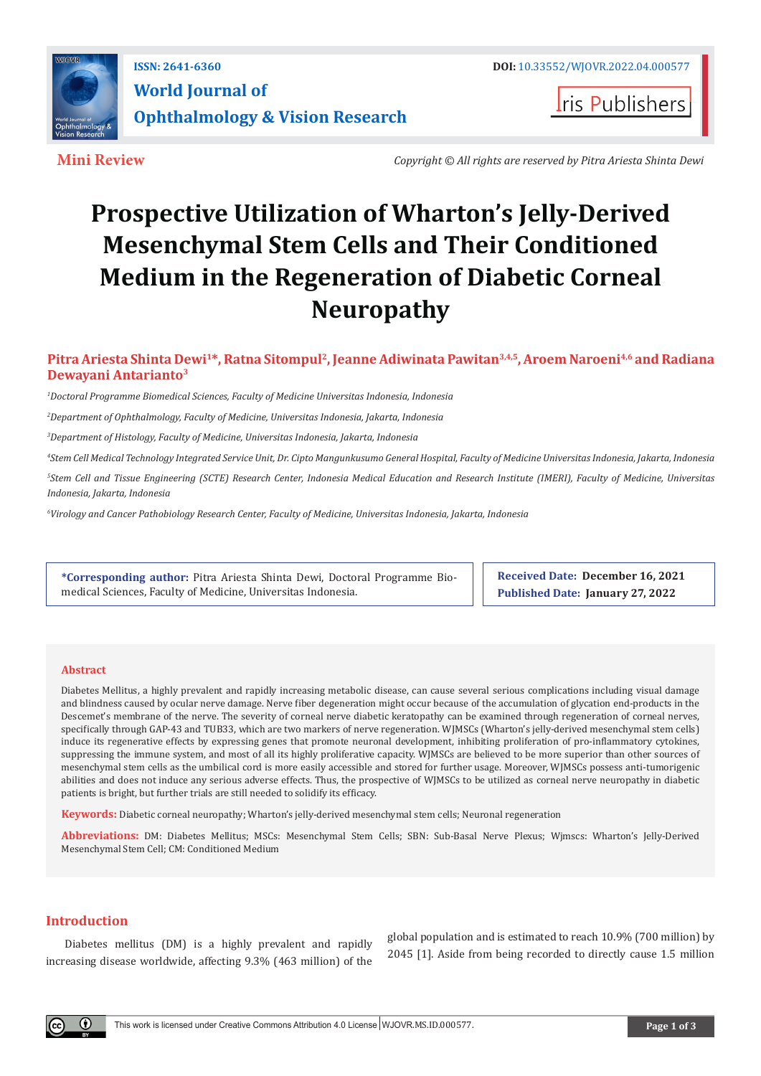

**I**ris Publishers

**Mini Review** *Copyright © All rights are reserved by Pitra Ariesta Shinta Dewi*

# **Prospective Utilization of Wharton's Jelly-Derived Mesenchymal Stem Cells and Their Conditioned Medium in the Regeneration of Diabetic Corneal Neuropathy**

# **Pitra Ariesta Shinta Dewi1\*, Ratna Sitompul2, Jeanne Adiwinata Pawitan3,4,5, Aroem Naroeni4,6 and Radiana Dewayani Antarianto3**

*1 Doctoral Programme Biomedical Sciences, Faculty of Medicine Universitas Indonesia, Indonesia*

*2 Department of Ophthalmology, Faculty of Medicine, Universitas Indonesia, Jakarta, Indonesia*

*3 Department of Histology, Faculty of Medicine, Universitas Indonesia, Jakarta, Indonesia*

*4 Stem Cell Medical Technology Integrated Service Unit, Dr. Cipto Mangunkusumo General Hospital, Faculty of Medicine Universitas Indonesia, Jakarta, Indonesia*

*5 Stem Cell and Tissue Engineering (SCTE) Research Center, Indonesia Medical Education and Research Institute (IMERI), Faculty of Medicine, Universitas Indonesia, Jakarta, Indonesia*

*6 Virology and Cancer Pathobiology Research Center, Faculty of Medicine, Universitas Indonesia, Jakarta, Indonesia*

**\*Corresponding author:** Pitra Ariesta Shinta Dewi, Doctoral Programme Biomedical Sciences, Faculty of Medicine, Universitas Indonesia.

**Received Date: December 16, 2021 Published Date: January 27, 2022**

## **Abstract**

Diabetes Mellitus, a highly prevalent and rapidly increasing metabolic disease, can cause several serious complications including visual damage and blindness caused by ocular nerve damage. Nerve fiber degeneration might occur because of the accumulation of glycation end-products in the Descemet's membrane of the nerve. The severity of corneal nerve diabetic keratopathy can be examined through regeneration of corneal nerves, specifically through GAP-43 and TUB33, which are two markers of nerve regeneration. WJMSCs (Wharton's jelly-derived mesenchymal stem cells) induce its regenerative effects by expressing genes that promote neuronal development, inhibiting proliferation of pro-inflammatory cytokines, suppressing the immune system, and most of all its highly proliferative capacity. WJMSCs are believed to be more superior than other sources of mesenchymal stem cells as the umbilical cord is more easily accessible and stored for further usage. Moreover, WJMSCs possess anti-tumorigenic abilities and does not induce any serious adverse effects. Thus, the prospective of WJMSCs to be utilized as corneal nerve neuropathy in diabetic patients is bright, but further trials are still needed to solidify its efficacy.

**Keywords:** Diabetic corneal neuropathy; Wharton's jelly-derived mesenchymal stem cells; Neuronal regeneration

**Abbreviations:** DM: Diabetes Mellitus; MSCs: Mesenchymal Stem Cells; SBN: Sub-Basal Nerve Plexus; Wjmscs: Wharton's Jelly-Derived Mesenchymal Stem Cell; CM: Conditioned Medium

# **Introduction**

Diabetes mellitus (DM) is a highly prevalent and rapidly increasing disease worldwide, affecting 9.3% (463 million) of the

global population and is estimated to reach 10.9% (700 million) by 2045 [1]. Aside from being recorded to directly cause 1.5 million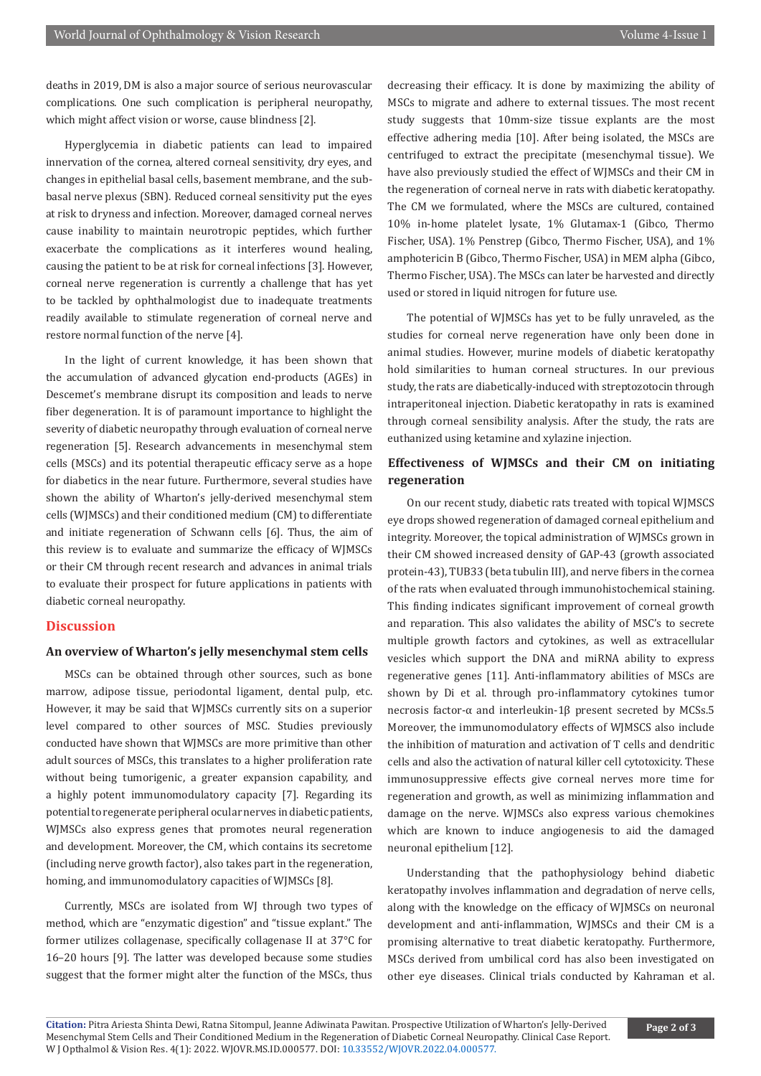deaths in 2019, DM is also a major source of serious neurovascular complications. One such complication is peripheral neuropathy, which might affect vision or worse, cause blindness [2].

Hyperglycemia in diabetic patients can lead to impaired innervation of the cornea, altered corneal sensitivity, dry eyes, and changes in epithelial basal cells, basement membrane, and the subbasal nerve plexus (SBN). Reduced corneal sensitivity put the eyes at risk to dryness and infection. Moreover, damaged corneal nerves cause inability to maintain neurotropic peptides, which further exacerbate the complications as it interferes wound healing, causing the patient to be at risk for corneal infections [3]. However, corneal nerve regeneration is currently a challenge that has yet to be tackled by ophthalmologist due to inadequate treatments readily available to stimulate regeneration of corneal nerve and restore normal function of the nerve [4].

In the light of current knowledge, it has been shown that the accumulation of advanced glycation end-products (AGEs) in Descemet's membrane disrupt its composition and leads to nerve fiber degeneration. It is of paramount importance to highlight the severity of diabetic neuropathy through evaluation of corneal nerve regeneration [5]. Research advancements in mesenchymal stem cells (MSCs) and its potential therapeutic efficacy serve as a hope for diabetics in the near future. Furthermore, several studies have shown the ability of Wharton's jelly-derived mesenchymal stem cells (WJMSCs) and their conditioned medium (CM) to differentiate and initiate regeneration of Schwann cells [6]. Thus, the aim of this review is to evaluate and summarize the efficacy of WJMSCs or their CM through recent research and advances in animal trials to evaluate their prospect for future applications in patients with diabetic corneal neuropathy.

# **Discussion**

## **An overview of Wharton's jelly mesenchymal stem cells**

MSCs can be obtained through other sources, such as bone marrow, adipose tissue, periodontal ligament, dental pulp, etc. However, it may be said that WJMSCs currently sits on a superior level compared to other sources of MSC. Studies previously conducted have shown that WJMSCs are more primitive than other adult sources of MSCs, this translates to a higher proliferation rate without being tumorigenic, a greater expansion capability, and a highly potent immunomodulatory capacity [7]. Regarding its potential to regenerate peripheral ocular nerves in diabetic patients, WJMSCs also express genes that promotes neural regeneration and development. Moreover, the CM, which contains its secretome (including nerve growth factor), also takes part in the regeneration, homing, and immunomodulatory capacities of WJMSCs [8].

Currently, MSCs are isolated from WJ through two types of method, which are "enzymatic digestion" and "tissue explant." The former utilizes collagenase, specifically collagenase II at 37°C for 16–20 hours [9]. The latter was developed because some studies suggest that the former might alter the function of the MSCs, thus

decreasing their efficacy. It is done by maximizing the ability of MSCs to migrate and adhere to external tissues. The most recent study suggests that 10mm-size tissue explants are the most effective adhering media [10]. After being isolated, the MSCs are centrifuged to extract the precipitate (mesenchymal tissue). We have also previously studied the effect of WJMSCs and their CM in the regeneration of corneal nerve in rats with diabetic keratopathy. The CM we formulated, where the MSCs are cultured, contained 10% in-home platelet lysate, 1% Glutamax-1 (Gibco, Thermo Fischer, USA). 1% Penstrep (Gibco, Thermo Fischer, USA), and 1% amphotericin B (Gibco, Thermo Fischer, USA) in MEM alpha (Gibco, Thermo Fischer, USA). The MSCs can later be harvested and directly used or stored in liquid nitrogen for future use.

The potential of WJMSCs has yet to be fully unraveled, as the studies for corneal nerve regeneration have only been done in animal studies. However, murine models of diabetic keratopathy hold similarities to human corneal structures. In our previous study, the rats are diabetically-induced with streptozotocin through intraperitoneal injection. Diabetic keratopathy in rats is examined through corneal sensibility analysis. After the study, the rats are euthanized using ketamine and xylazine injection.

# **Effectiveness of WJMSCs and their CM on initiating regeneration**

On our recent study, diabetic rats treated with topical WJMSCS eye drops showed regeneration of damaged corneal epithelium and integrity. Moreover, the topical administration of WJMSCs grown in their CM showed increased density of GAP-43 (growth associated protein-43), TUB33 (beta tubulin III), and nerve fibers in the cornea of the rats when evaluated through immunohistochemical staining. This finding indicates significant improvement of corneal growth and reparation. This also validates the ability of MSC's to secrete multiple growth factors and cytokines, as well as extracellular vesicles which support the DNA and miRNA ability to express regenerative genes [11]. Anti-inflammatory abilities of MSCs are shown by Di et al. through pro-inflammatory cytokines tumor necrosis factor-α and interleukin-1β present secreted by MCSs.5 Moreover, the immunomodulatory effects of WJMSCS also include the inhibition of maturation and activation of T cells and dendritic cells and also the activation of natural killer cell cytotoxicity. These immunosuppressive effects give corneal nerves more time for regeneration and growth, as well as minimizing inflammation and damage on the nerve. WJMSCs also express various chemokines which are known to induce angiogenesis to aid the damaged neuronal epithelium [12].

Understanding that the pathophysiology behind diabetic keratopathy involves inflammation and degradation of nerve cells, along with the knowledge on the efficacy of WJMSCs on neuronal development and anti-inflammation, WJMSCs and their CM is a promising alternative to treat diabetic keratopathy. Furthermore, MSCs derived from umbilical cord has also been investigated on other eye diseases. Clinical trials conducted by Kahraman et al.